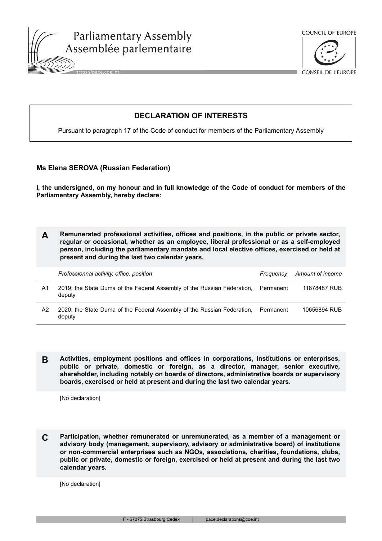



**CONSEIL DE L'EUROPE** 

## **DECLARATION OF INTERESTS**

Pursuant to paragraph 17 of the Code of conduct for members of the Parliamentary Assembly

## **Ms Elena SEROVA (Russian Federation)**

**I, the undersigned, on my honour and in full knowledge of the Code of conduct for members of the Parliamentary Assembly, hereby declare:**

**A Remunerated professional activities, offices and positions, in the public or private sector, regular or occasional, whether as an employee, liberal professional or as a self-employed person, including the parliamentary mandate and local elective offices, exercised or held at present and during the last two calendar years.**

|    | Professionnal activity, office, position                                          | Freauency | Amount of income |
|----|-----------------------------------------------------------------------------------|-----------|------------------|
| A1 | 2019: the State Duma of the Federal Assembly of the Russian Federation,<br>deputy | Permanent | 11878487 RUB     |
| A2 | 2020: the State Duma of the Federal Assembly of the Russian Federation.<br>deputy | Permanent | 10656894 RUB     |

**B Activities, employment positions and offices in corporations, institutions or enterprises, public or private, domestic or foreign, as a director, manager, senior executive, shareholder, including notably on boards of directors, administrative boards or supervisory boards, exercised or held at present and during the last two calendar years.**

[No declaration]

**C Participation, whether remunerated or unremunerated, as a member of a management or advisory body (management, supervisory, advisory or administrative board) of institutions or non-commercial enterprises such as NGOs, associations, charities, foundations, clubs, public or private, domestic or foreign, exercised or held at present and during the last two calendar years.**

[No declaration]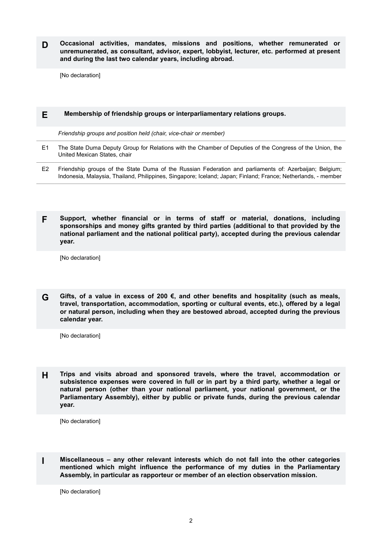**D Occasional activities, mandates, missions and positions, whether remunerated or unremunerated, as consultant, advisor, expert, lobbyist, lecturer, etc. performed at present and during the last two calendar years, including abroad.**

[No declaration]

## **E Membership of friendship groups or interparliamentary relations groups.**

*Friendship groups and position held (chair, vice-chair or member)*

- E1 The State Duma Deputy Group for Relations with the Chamber of Deputies of the Congress of the Union, the United Mexican States, chair
- E2 Friendship groups of the State Duma of the Russian Federation and parliaments of: Azerbaijan; Belgium; Indonesia, Malaysia, Thailand, Philippines, Singapore; Iceland; Japan; Finland; France; Netherlands, - member
- **F Support, whether financial or in terms of staff or material, donations, including sponsorships and money gifts granted by third parties (additional to that provided by the national parliament and the national political party), accepted during the previous calendar year.**

[No declaration]

**G Gifts, of a value in excess of 200 €, and other benefits and hospitality (such as meals, travel, transportation, accommodation, sporting or cultural events, etc.), offered by a legal or natural person, including when they are bestowed abroad, accepted during the previous calendar year.**

[No declaration]

**H Trips and visits abroad and sponsored travels, where the travel, accommodation or subsistence expenses were covered in full or in part by a third party, whether a legal or natural person (other than your national parliament, your national government, or the Parliamentary Assembly), either by public or private funds, during the previous calendar year.**

[No declaration]

**I Miscellaneous – any other relevant interests which do not fall into the other categories mentioned which might influence the performance of my duties in the Parliamentary Assembly, in particular as rapporteur or member of an election observation mission.**

[No declaration]